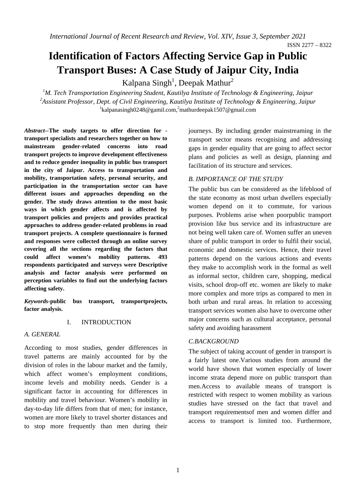# **Identification of Factors Affecting Service Gap in Public Transport Buses: A Case Study of Jaipur City, India**

Kalpana Singh<sup>1</sup>, Deepak Mathur<sup>2</sup>

<sup>1</sup>M. Tech Transportation Engineering Student, Kautilya Institute of Technology & Engineering, Jaipur *2 Assistant Professor, Dept. of Civil Engineering, Kautilya Institute of Technology & Engineering, Jaipur*  $1$ kalpanasingh0248@gamil.com,<sup>2</sup>mathurdeepak1507@gmail.com

*Abstract--***The study targets to offer direction for transport specialists and researchers together on how to mainstream gender-related concerns into road transport projects to improve development effectiveness and to reduce gender inequality in public bus transport in the city of Jaipur. Access to transportation and mobility, transportation safety, personal security, and participation in the transportation sector can have different issues and approaches depending on the gender. The study draws attention to the most basic ways in which gender affects and is affected by transport policies and projects and provides practical approaches to address gender-related problems in road transport projects. A complete questionnaire is formed and responses were collected through an online survey covering all the sections regarding the factors that could affect women's mobility patterns. 493 respondents participated and surveys were Descriptive analysis and factor analysis were performed on perception variables to find out the underlying factors affecting safety.**

*Keywords-***public bus transport, transportprojects, factor analysis.** 

## I. INTRODUCTION

#### *A. GENERAL*

According to most studies, gender differences in travel patterns are mainly accounted for by the division of roles in the labour market and the family, which affect women's employment conditions, income levels and mobility needs. Gender is a significant factor in accounting for differences in mobility and travel behaviour. Women's mobility in day-to-day life differs from that of men; for instance, women are more likely to travel shorter distances and to stop more frequently than men during their journeys. By including gender mainstreaming in the transport sector means recognising and addressing gaps in gender equality that are going to affect sector plans and policies as well as design, planning and facilitation of its structure and services.

#### *B. IMPORTANCE OF THE STUDY*

The public bus can be considered as the lifeblood of the state economy as most urban dwellers especially women depend on it to commute, for various purposes. Problems arise when poorpublic transport provision like bus service and its infrastructure are not being well taken care of. Women suffer an uneven share of public transport in order to fulfil their social, economic and domestic services. Hence, their travel patterns depend on the various actions and events they make to accomplish work in the formal as well as informal sector, children care, shopping, medical visits, school drop-off etc. women are likely to make more complex and more trips as compared to men in both urban and rural areas. In relation to accessing transport services women also have to overcome other major concerns such as cultural acceptance, personal safety and avoiding harassment

#### *C.BACKGROUND*

The subject of taking account of gender in transport is a fairly latest one.Various studies from around the world have shown that women especially of lower income strata depend more on public transport than men.Access to available means of transport is restricted with respect to women mobility as various studies have stressed on the fact that travel and transport requirementsof men and women differ and access to transport is limited too. Furthermore,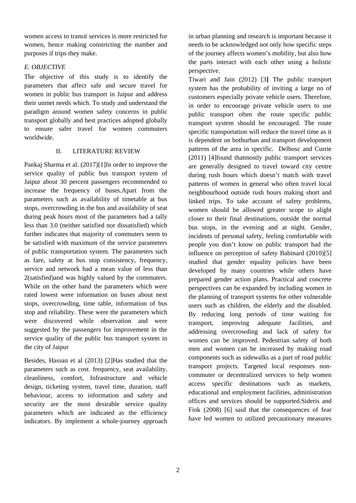women access to transit services is more restricted for women, hence making constricting the number and purposes if trips they make.

## *E. OBJECTIVE*

The objective of this study is to identify the parameters that affect safe and secure travel for women in public bus transport in Jaipur and address their unmet needs which. To study and understand the paradigm around women safety concerns in public transport globally and best practices adopted globally to ensure safer travel for women commuters worldwide.

#### II. LITERATURE REVIEW

Pankaj Sharma et al. (2017)[1]In order to improve the service quality of public bus transport system of Jaipur about 30 percent passengers recommended to increase the frequency of buses.Apart from the parameters such as availability of timetable at bus stops, overcrowding in the bus and availability of seat during peak hours most of the parameters had a tally less than 3.0 (neither satisfied nor dissatisfied) which further indicates that majority of commuters seem to be satisfied with maximum of the service parameters of public transportation system. The parameters such as fare, safety at bus stop consistency, frequency, service and network had a mean value of less than 2(satisfied)and was highly valued by the commuters. While on the other hand the parameters which were rated lowest were information on buses about next stops, overcrowding, time table, information of bus stop and reliability. These were the parameters which were discovered while observation and were suggested by the passengers for improvement in the service quality of the public bus transport system in the city of Jaipur

Besides, Hassan et al (2013) [2]Has studied that the parameters such as cost. frequency, seat availability, cleanliness, comfort, Infrastructure and vehicle design, ticketing system, travel time, duration, staff behaviour, access to information and safety and security are the most desirable service quality parameters which are indicated as the efficiency indicators. By implement a whole-journey approach in urban planning and research is important because it needs to be acknowledged not only how specific steps of the journey affects women's mobility, but also how the parts interact with each other using a holistic perspective.

Tiwari and Jain (2012) [3**]** The public transport system has the probability of inviting a large no of customers especially private vehicle users. Therefore, in order to encourage private vehicle users to use public transport often the route specific public transport system should be encouraged. The route specific transportation will reduce the travel time as it is dependent on bothurban and transport development patterns of the area in specific. Delbosc and Currie (2011) [4]found thatmostly public transport services are generally designed to travel toward city centre during rush hours which doesn't match with travel patterns of women in general who often travel local neighbourhood outside rush hours making short and linked trips. To take account of safety problems, women should be allowed greater scope to alight closer to their final destinations, outside the normal bus stops, in the evening and at night. Gender, incidents of personal safety, feeling comfortable with people you don't know on public transport had the influence on perception of safety Babinard (2010)[5] studied that gender equality policies have been developed by many countries while others have prepared gender action plans. Practical and concrete perspectives can be expanded by including women in the planning of transport systems for other vulnerable users such as children, the elderly and the disabled. By reducing long periods of time waiting for transport, improving adequate facilities, and addressing overcrowding and lack of safety for women can be improved. Pedestrian safety of both men and women can be increased by making road components such as sidewalks as a part of road public transport projects. Targeted local responses noncommuter or decentralized services to help women access specific destinations such as markets, educational and employment facilities, administration offices and services should be supported.Sideris and Fink (2008) [6] said that the consequences of fear have led women to utilized precautionary measures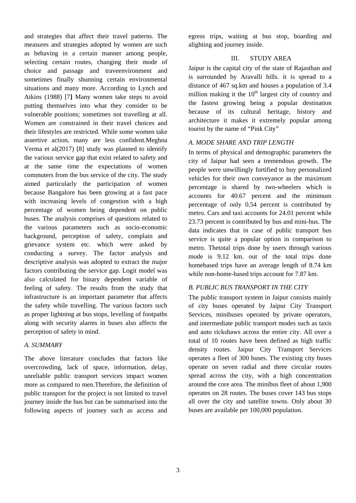and strategies that affect their travel patterns. The measures and strategies adopted by women are such as behaving in a certain manner among people, selecting certain routes, changing their mode of choice and passage and traveenvironment and sometimes finally shunning certain environmental situations and many more. According to Lynch and Atkins (1988) [7**]** Many women take steps to avoid putting themselves into what they consider to be vulnerable positions; sometimes not travelling at all. Women are constrained in their travel choices and their lifestyles are restricted. While some women take assertive action, many are less confident.Meghna Verma et al(2017) [8] study was planned to identify the various service gap that exist related to safety and at the same time the expectations of women commuters from the bus service of the city. The study aimed particularly the participation of women because Bangalore has been growing at a fast pace with increasing levels of congestion with a high percentage of women being dependent on public buses. The analysis comprises of questions related to the various parameters such as socio-economic background, perception of safety, complain and grievance system etc. which were asked by conducting a survey. The factor analysis and descriptive analysis was adopted to extract the major factors contributing the service gap. Logit model was also calculated for binary dependent variable of feeling of safety. The results from the study that infrastructure is an important parameter that affects the safety while travelling. The various factors such as proper lightning at bus stops, levelling of footpaths along with security alarms in buses also affects the perception of safety in mind.

## *A. SUMMARY*

The above literature concludes that factors like overcrowding, lack of space, information, delay, unreliable public transport services impact women more as compared to men.Therefore, the definition of public transport for the project is not limited to travel journey inside the bus but can be summarised into the following aspects of journey such as access and egress trips, waiting at bus stop, boarding and alighting and journey inside.

# III. STUDY AREA

Jaipur is the capital city of the state of Rajasthan and is surrounded by Aravalli hills. it is spread to a distance of 467 sq.km and houses a population of 3.4 million making it the  $10<sup>th</sup>$  largest city of country and the fastest growing being a popular destination because of its cultural heritage, history and architecture it makes it extremely popular among tourist by the name of "Pink City"

## *A. MODE SHARE AND TRIP LENGTH*

In terms of physical and demographic parameters the city of Jaipur had seen a tremendous growth. The people were unwillingly fortified to buy personalized vehicles for their own conveyance as the maximum percentage is shared by two-wheelers which is accounts for 40.67 percent and the minimum percentage of only 0.54 percent is contributed by metro. Cars and taxi accounts for 24.01 percent while 23.73 percent is contributed by bus and mini-bus. The data indicates that in case of public transport bus service is quite a popular option in comparison to metro. Thetotal trips done by users through various mode is 9.12 km. out of the total trips done homebased trips have an average length of 8.74 km while non-home-based trips account for 7.87 km.

## *B. PUBLIC BUS TRANSPORT IN THE CITY*

The public transport system in Jaipur consists mainly of city buses operated by Jaipur City Transport Services, minibuses operated by private operators, and intermediate public transport modes such as taxis and auto rickshaws across the entire city. All over a total of 10 routes have been defined as high traffic density routes. Jaipur City Transport Services operates a fleet of 300 buses. The existing city buses operate on seven radial and three circular routes spread across the city, with a high concentration around the core area. The minibus fleet of about 1,900 operates on 28 routes. The buses cover 143 bus stops all over the city and satellite towns. Only about 30 buses are available per 100,000 population.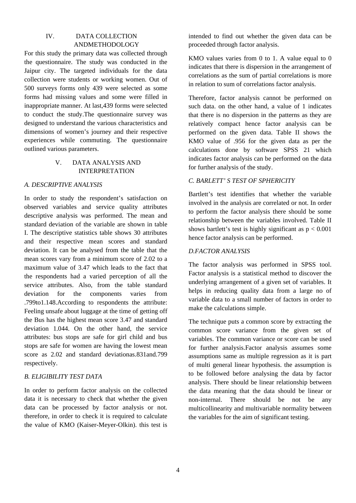# IV. DATA COLLECTION ANDMETHODOLOGY

For this study the primary data was collected through the questionnaire. The study was conducted in the Jaipur city. The targeted individuals for the data collection were students or working women. Out of 500 surveys forms only 439 were selected as some forms had missing values and some were filled in inappropriate manner. At last,439 forms were selected to conduct the study.The questionnaire survey was designed to understand the various characteristics and dimensions of women's journey and their respective experiences while commuting. The questionnaire outlined various parameters.

## V. DATA ANALYSIS AND INTERPRETATION

#### *A. DESCRIPTIVE ANALYSIS*

In order to study the respondent's satisfaction on observed variables and service quality attributes descriptive analysis was performed. The mean and standard deviation of the variable are shown in table I. The descriptive statistics table shows 30 attributes and their respective mean scores and standard deviation. It can be analysed from the table that the mean scores vary from a minimum score of 2.02 to a maximum value of 3.47 which leads to the fact that the respondents had a varied perception of all the service attributes. Also, from the table standard deviation for the components varies from .799to1.148.According to respondents the attribute: Feeling unsafe about luggage at the time of getting off the Bus has the highest mean score 3.47 and standard deviation 1.044. On the other hand, the service attributes: bus stops are safe for girl child and bus stops are safe for women are having the lowest mean score as 2.02 and standard deviationas.831and.799 respectively.

## *B. ELIGIBILITY TEST DATA*

In order to perform factor analysis on the collected data it is necessary to check that whether the given data can be processed by factor analysis or not. therefore, in order to check it is required to calculate the value of KMO (Kaiser-Meyer-Olkin). this test is intended to find out whether the given data can be proceeded through factor analysis.

KMO values varies from 0 to 1. A value equal to 0 indicates that there is dispersion in the arrangement of correlations as the sum of partial correlations is more in relation to sum of correlations factor analysis.

Therefore, factor analysis cannot be performed on such data. on the other hand, a value of 1 indicates that there is no dispersion in the patterns as they are relatively compact hence factor analysis can be performed on the given data. Table II shows the KMO value of .956 for the given data as per the calculations done by software SPSS 21 which indicates factor analysis can be performed on the data for further analysis of the study.

## *C. BARLETT' S TEST OF SPHERICITY*

Bartlett's test identifies that whether the variable involved in the analysis are correlated or not. In order to perform the factor analysis there should be some relationship between the variables involved. Table II shows bartlett's test is highly significant as  $p < 0.001$ hence factor analysis can be performed.

## *D.FACTOR ANALYSIS*

The factor analysis was performed in SPSS tool. Factor analysis is a statistical method to discover the underlying arrangement of a given set of variables. It helps in reducing quality data from a large no of variable data to a small number of factors in order to make the calculations simple.

The technique puts a common score by extracting the common score variance from the given set of variables. The common variance or score can be used for further analysis.Factor analysis assumes some assumptions same as multiple regression as it is part of multi general linear hypothesis. the assumption is to be followed before analysing the data by factor analysis. There should be linear relationship between the data meaning that the data should be linear or non-internal. There should be not be any multicollinearity and multivariable normality between the variables for the aim of significant testing.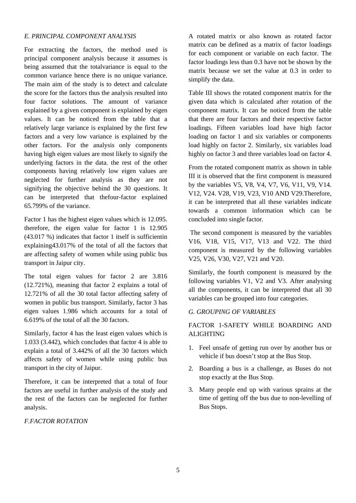## *E. PRINCIPAL COMPONENT ANALYSIS*

For extracting the factors, the method used is principal component analysis because it assumes is being assumed that the totalvariance is equal to the common variance hence there is no unique variance. The main aim of the study is to detect and calculate the score for the factors thus the analysis resulted into four factor solutions. The amount of variance explained by a given component is explained by eigen values. It can be noticed from the table that a relatively large variance is explained by the first few factors and a very low variance is explained by the other factors. For the analysis only components having high eigen values are most likely to signify the underlying factors in the data. the rest of the other components having relatively low eigen values are neglected for further analysis as they are not signifying the objective behind the 30 questions. It can be interpreted that thefour-factor explained 65.799% of the variance.

Factor 1 has the highest eigen values which is 12.095. therefore, the eigen value for factor 1 is 12.905 (43.017 %) indicates that factor 1 itself is sufficientin explaining43.017% of the total of all the factors that are affecting safety of women while using public bus transport in Jaipur city.

The total eigen values for factor 2 are 3.816 (12.721%), meaning that factor 2 explains a total of 12.721% of all the 30 total factor affecting safety of women in public bus transport. Similarly, factor 3 has eigen values 1.986 which accounts for a total of 6.619% of the total of all the 30 factors.

Similarly, factor 4 has the least eigen values which is 1.033 (3.442), which concludes that factor 4 is able to explain a total of 3.442% of all the 30 factors which affects safety of women while using public bus transport in the city of Jaipur.

Therefore, it can be interpreted that a total of four factors are useful in further analysis of the study and the rest of the factors can be neglected for further analysis.

## *F.FACTOR ROTATION*

A rotated matrix or also known as rotated factor matrix can be defined as a matrix of factor loadings for each component or variable on each factor. The factor loadings less than 0.3 have not be shown by the matrix because we set the value at 0.3 in order to simplify the data.

Table III shows the rotated component matrix for the given data which is calculated after rotation of the component matrix. It can be noticed from the table that there are four factors and their respective factor loadings. Fifteen variables load have high factor loading on factor 1 and six variables or components load highly on factor 2. Similarly, six variables load highly on factor 3 and three variables load on factor 4.

From the rotated component matrix as shown in table III it is observed that the first component is measured by the variables V5, V8, V4, V7, V6, V11, V9, V14. V12, V24. V28, V19, V23, V10 AND V29.Therefore, it can be interpreted that all these variables indicate towards a common information which can be concluded into single factor.

 The second component is measured by the variables V16, V18, V15, V17, V13 and V22. The third component is measured by the following variables V25, V26, V30, V27, V21 and V20.

Similarly, the fourth component is measured by the following variables V1, V2 and V3. After analysing all the components, it can be interpreted that all 30 variables can be grouped into four categories.

## *G. GROUPING OF VARIABLES*

# FACTOR 1-SAFETY WHILE BOARDING AND ALIGHTING

- 1. Feel unsafe of getting run over by another bus or vehicle if bus doesn't stop at the Bus Stop.
- 2. Boarding a bus is a challenge, as Buses do not stop exactly at the Bus Stop.
- 3. Many people end up with various sprains at the time of getting off the bus due to non-levelling of Bus Stops.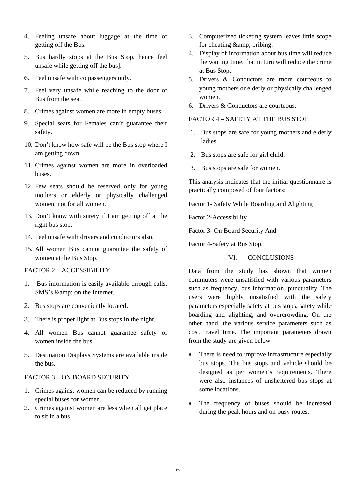- 4. Feeling unsafe about luggage at the time of getting off the Bus.
- 5. Bus hardly stops at the Bus Stop, hence feel unsafe while getting off the bus].
- 6. Feel unsafe with co passengers only.
- 7. Feel very unsafe while reaching to the door of Bus from the seat.
- 8. Crimes against women are more in empty buses.
- 9. Special seats for Females can't guarantee their safety.
- 10. Don't know how safe will be the Bus stop where I am getting down.
- 11. Crimes against women are more in overloaded buses.
- 12. Few seats should be reserved only for young mothers or elderly or physically challenged women, not for all women.
- 13. Don't know with surety if I am getting off at the right bus stop.
- 14. Feel unsafe with drivers and conductors also.
- 15. All women Bus cannot guarantee the safety of women at the Bus Stop.

#### FACTOR 2 – ACCESSIBILITY

- 1. Bus information is easily available through calls, SMS's & amp; on the Internet.
- 2. Bus stops are conveniently located.
- 3. There is proper light at Bus stops in the night.
- 4. All women Bus cannot guarantee safety of women inside the bus.
- 5. Destination Displays Systems are available inside the bus.

#### FACTOR 3 – ON BOARD SECURITY

- 1. Crimes against women can be reduced by running special buses for women.
- 2. Crimes against women are less when all get place to sit in a bus
- 3. Computerized ticketing system leaves little scope for cheating  $&$ ; bribing.
- 4. Display of information about bus time will reduce the waiting time, that in turn will reduce the crime at Bus Stop.
- 5. Drivers & Conductors are more courteous to young mothers or elderly or physically challenged women.
- 6. Drivers & Conductors are courteous.

#### FACTOR 4 – SAFETY AT THE BUS STOP

- 1. Bus stops are safe for young mothers and elderly ladies.
- 2. Bus stops are safe for girl child.
- 3. Bus stops are safe for women.

This analysis indicates that the initial questionnaire is practically composed of four factors:

Factor 1- Safety While Boarding and Alighting

Factor 2-Accessibility

Factor 3- On Board Security And

Factor 4-Safety at Bus Stop.

#### VI. CONCLUSIONS

Data from the study has shown that women commuters were unsatisfied with various parameters such as frequency, bus information, punctuality. The users were highly unsatisfied with the safety parameters especially safety at bus stops, safety while boarding and alighting, and overcrowding. On the other hand, the various service parameters such as cost, travel time. The important parameters drawn from the study are given below –

- There is need to improve infrastructure especially bus stops. The bus stops and vehicle should be designed as per women's requirements. There were also instances of unsheltered bus stops at some locations.
- The frequency of buses should be increased during the peak hours and on busy routes.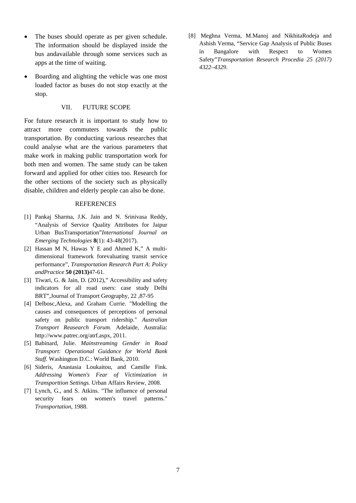- The buses should operate as per given schedule. The information should be displayed inside the bus andavailable through some services such as apps at the time of waiting.
- Boarding and alighting the vehicle was one most loaded factor as buses do not stop exactly at the stop.

#### VII. FUTURE SCOPE

For future research it is important to study how to attract more commuters towards the public transportation. By conducting various researches that could analyse what are the various parameters that make work in making public transportation work for both men and women. The same study can be taken forward and applied for other cities too. Research for the other sections of the society such as physically disable, children and elderly people can also be done.

#### REFERENCES

- [1] Pankaj Sharma, J.K. Jain and N. Srinivasa Reddy, "Analysis of Service Quality Attributes for Jaipur Urban BusTransportation"*International Journal on Emerging Technologies* **8**(1): 43-48(2017).
- [2] Hassan M N, Hawas Y E and Ahmed K," A multidimensional framework forevaluating transit service performance", *Transportation Research Part A*: *Policy andPractice* **50 (2013)**47-61.
- [3] Tiwari, G. & Jain, D. (2012)," Accessibility and safety indicators for all road users: case study Delhi BRT",Journal of Transport Geography, 22 ,87-95
- [4] Delbosc,Alexa, and Graham Currie. "Modelling the causes and consequences of perceptions of personal safety on public transport ridership." *Australian Transport Reasearch Forum.* Adelaide, Australia: http://www.patrec.org/atrf.aspx, 2011.
- [5] Babinard, Julie. *Mainstreaming Gender in Road Transport: Operational Guidance for World Bank Staff.* Washington D.C.: World Bank, 2010.
- [6] Sideris, Anastasia Loukaitou, and Camille Fink. *Addressing Women's Fear of Victimization in Transporttion Settings.* Urban Affairs Review, 2008.
- [7] Lynch, G., and S. Atkins. "The influence of personal security fears on women's travel patterns." *Transportation*, 1988.

[8] Meghna Verma, M.Manoj and NikhitaRodeja and Ashish Verma, "Service Gap Analysis of Public Buses in Bangalore with Respect to Women Safety"*Transportation Research Procedia 25 (2017) 4322–4329*.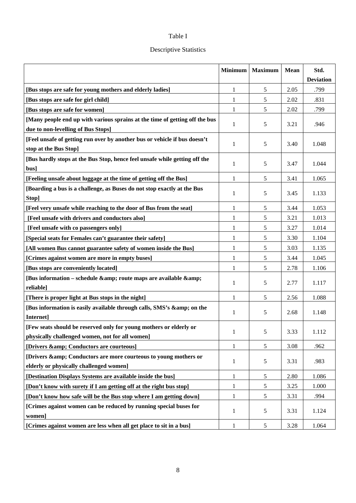# Table I

# Descriptive Statistics

|                                                                                                                       | <b>Minimum</b> | <b>Maximum</b> | <b>Mean</b> | Std.<br><b>Deviation</b> |
|-----------------------------------------------------------------------------------------------------------------------|----------------|----------------|-------------|--------------------------|
| [Bus stops are safe for young mothers and elderly ladies]                                                             | 1              | 5              | 2.05        | .799                     |
| [Bus stops are safe for girl child]                                                                                   | 1              | 5              | 2.02        | .831                     |
| [Bus stops are safe for women]                                                                                        | 1              | 5              | 2.02        | .799                     |
| [Many people end up with various sprains at the time of getting off the bus                                           |                |                |             |                          |
| due to non-levelling of Bus Stops]                                                                                    | 1              | 5              | 3.21        | .946                     |
| [Feel unsafe of getting run over by another bus or vehicle if bus doesn't<br>stop at the Bus Stop]                    | 1              | 5              | 3.40        | 1.048                    |
| [Bus hardly stops at the Bus Stop, hence feel unsafe while getting off the<br>bus]                                    | 1              | 5              | 3.47        | 1.044                    |
| [Feeling unsafe about luggage at the time of getting off the Bus]                                                     | 1              | 5              | 3.41        | 1.065                    |
| [Boarding a bus is a challenge, as Buses do not stop exactly at the Bus<br>Stop]                                      | 1              | 5              | 3.45        | 1.133                    |
| [Feel very unsafe while reaching to the door of Bus from the seat]                                                    | 1              | 5              | 3.44        | 1.053                    |
| [Feel unsafe with drivers and conductors also]                                                                        | 1              | 5              | 3.21        | 1.013                    |
| [Feel unsafe with co passengers only]                                                                                 | 1              | 5              | 3.27        | 1.014                    |
| [Special seats for Females can't guarantee their safety]                                                              | 1              | 5              | 3.30        | 1.104                    |
| [All women Bus cannot guarantee safety of women inside the Bus]                                                       | $\mathbf{1}$   | 5              | 3.03        | 1.135                    |
| [Crimes against women are more in empty buses]                                                                        | 1              | 5              | 3.44        | 1.045                    |
| [Bus stops are conveniently located]                                                                                  | 1              | 5              | 2.78        | 1.106                    |
| [Bus information - schedule & route maps are available &<br>reliable]                                                 | 1              | 5              | 2.77        | 1.117                    |
| [There is proper light at Bus stops in the night]                                                                     | 1              | 5              | 2.56        | 1.088                    |
| [Bus information is easily available through calls, SMS's & on the<br>Internet]                                       | 1              | 5              | 2.68        | 1.148                    |
| [Few seats should be reserved only for young mothers or elderly or<br>physically challenged women, not for all women] | 1              | 5              | 3.33        | 1.112                    |
| [Drivers & Conductors are courteous]                                                                                  | 1              | 5              | 3.08        | .962                     |
| [Drivers & Conductors are more courteous to young mothers or<br>elderly or physically challenged women]               | 1              | 5              | 3.31        | .983                     |
| [Destination Displays Systems are available inside the bus]                                                           | 1              | 5              | 2.80        | 1.086                    |
| [Don't know with surety if I am getting off at the right bus stop]                                                    | 1              | 5              | 3.25        | 1.000                    |
| [Don't know how safe will be the Bus stop where I am getting down]                                                    | 1              | 5              | 3.31        | .994                     |
| [Crimes against women can be reduced by running special buses for<br>women]                                           | 1              | 5              | 3.31        | 1.124                    |
| [Crimes against women are less when all get place to sit in a bus]                                                    | 1              | 5              | 3.28        | 1.064                    |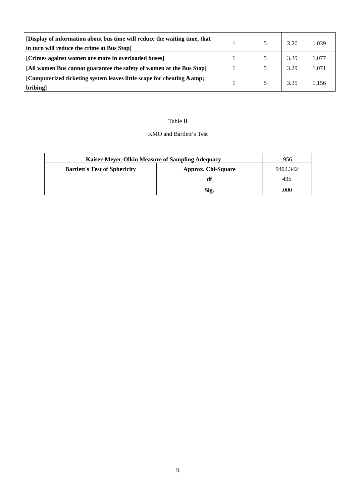| [Display of information about bus time will reduce the waiting time, that<br>in turn will reduce the crime at Bus Stop] |  | 3.20 | 1.039 |
|-------------------------------------------------------------------------------------------------------------------------|--|------|-------|
| [Crimes against women are more in overloaded buses]                                                                     |  | 3.39 | 1.077 |
| [All women Bus cannot guarantee the safety of women at the Bus Stop]                                                    |  | 3.29 | 1.071 |
| [Computerized ticketing system leaves little scope for cheating & amp;<br>bribing]                                      |  | 3.35 | 1.156 |

#### Table II

#### KMO and Bartlett's Test

| Kaiser-Meyer-Olkin Measure of Sampling Adequacy |                           | .956     |
|-------------------------------------------------|---------------------------|----------|
| <b>Bartlett's Test of Sphericity</b>            | <b>Approx. Chi-Square</b> | 9402.342 |
|                                                 | df                        | 435      |
|                                                 | Sig.                      | .000     |